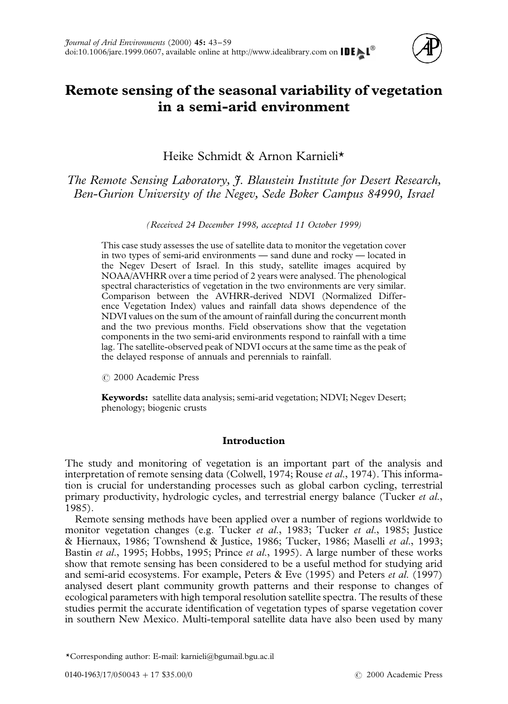

# **Remote sensing of the seasonal variability of vegetation in a semi-arid environment**

Heike Schmidt & Arnon Karnieli\*

# *The Remote Sensing Laboratory, J. Blaustein Institute for Desert Research, Ben-Gurion University of the Negev, Sede Boker Campus 84990, Israel*

*( Received 24 December 1998, accepted 11 October 1999)*

This case study assesses the use of satellite data to monitor the vegetation cover in two types of semi-arid environments — sand dune and rocky — located in the Negev Desert of Israel. In this study, satellite images acquired by NOAA/AVHRR over a time period of 2 years were analysed. The phenological spectral characteristics of vegetation in the two environments are very similar. Comparison between the AVHRR-derived NDVI (Normalized Difference Vegetation Index) values and rainfall data shows dependence of the NDVI values on the sum of the amount of rainfall during the concurrent month and the two previous months. Field observations show that the vegetation components in the two semi-arid environments respond to rainfall with a time lag. The satellite-observed peak of NDVI occurs at the same time as the peak of the delayed response of annuals and perennials to rainfall.

( 2000 Academic Press

**Keywords:** satellite data analysis; semi-arid vegetation; NDVI; Negev Desert; phenology; biogenic crusts

# **Introduction**

The study and monitoring of vegetation is an important part of the analysis and interpretation of remote sensing data (Colwell, 1974; Rouse *et al*., 1974). This information is crucial for understanding processes such as global carbon cycling, terrestrial primary productivity, hydrologic cycles, and terrestrial energy balance (Tucker *et al*., 1985).

Remote sensing methods have been applied over a number of regions worldwide to monitor vegetation changes (e.g. Tucker *et al*., 1983; Tucker *et al*., 1985; Justice & Hiernaux, 1986; Townshend & Justice, 1986; Tucker, 1986; Maselli *et al*., 1993; Bastin *et al*., 1995; Hobbs, 1995; Prince *et al*., 1995). A large number of these works show that remote sensing has been considered to be a useful method for studying arid and semi-arid ecosystems. For example, Peters & Eve (1995) and Peters *et al*. (1997) analysed desert plant community growth patterns and their response to changes of ecological parameters with high temporal resolution satellite spectra. The results of these studies permit the accurate identification of vegetation types of sparse vegetation cover in southern New Mexico. Multi-temporal satellite data have also been used by many

*\**Corresponding author: E-mail: karnieli@bgumail.bgu.ac.il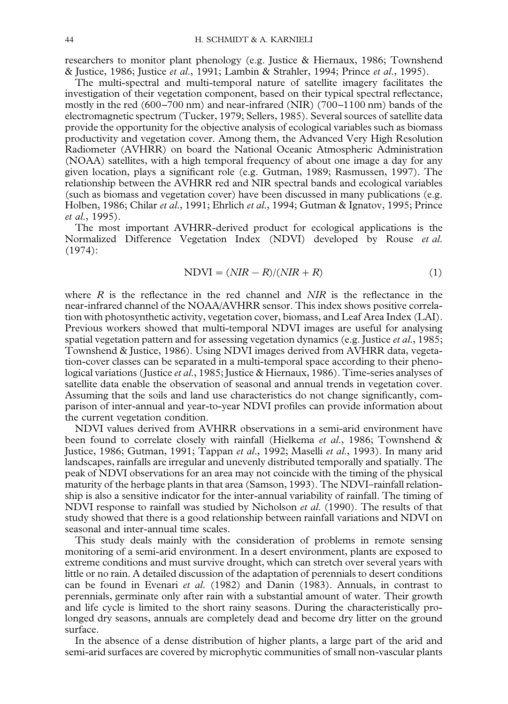researchers to monitor plant phenology (e.g. Justice & Hiernaux, 1986; Townshend & Justice, 1986; Justice *et al*., 1991; Lambin & Strahler, 1994; Prince *et al*., 1995).

The multi-spectral and multi-temporal nature of satellite imagery facilitates the investigation of their vegetation component, based on their typical spectral reflectance, mostly in the red (600–700 nm) and near-infrared (NIR) (700–1100 nm) bands of the electromagnetic spectrum (Tucker, 1979; Sellers, 1985). Several sources of satellite data provide the opportunity for the objective analysis of ecological variables such as biomass productivity and vegetation cover. Among them, the Advanced Very High Resolution Radiometer (AVHRR) on board the National Oceanic Atmospheric Administration (NOAA) satellites, with a high temporal frequency of about one image a day for any given location, plays a significant role (e.g. Gutman, 1989; Rasmussen, 1997). The relationship between the AVHRR red and NIR spectral bands and ecological variables (such as biomass and vegetation cover) have been discussed in many publications (e.g. Holben, 1986; Chilar *et al*., 1991; Ehrlich *et al*., 1994; Gutman & Ignatov, 1995; Prince *et al*., 1995).

The most important AVHRR-derived product for ecological applications is the Normalized Difference Vegetation Index (NDVI) developed by Rouse *et al*. (1974):

$$
NDVI = (NIR - R)/(NIR + R)
$$
\n(1)

where *R* is the reflectance in the red channel and *NIR* is the reflectance in the near-infrared channel of the NOAA/AVHRR sensor. This index shows positive correlation with photosynthetic activity, vegetation cover, biomass, and Leaf Area Index (LAI). Previous workers showed that multi-temporal NDVI images are useful for analysing spatial vegetation pattern and for assessing vegetation dynamics (e.g. Justice *et al*., 1985; Townshend & Justice, 1986). Using NDVI images derived from AVHRR data, vegetation-cover classes can be separated in a multi-temporal space according to their phenological variations (Justice *et al*., 1985; Justice & Hiernaux, 1986). Time-series analyses of satellite data enable the observation of seasonal and annual trends in vegetation cover. Assuming that the soils and land use characteristics do not change significantly, comparison of inter-annual and year-to-year NDVI profiles can provide information about the current vegetation condition.

NDVI values derived from AVHRR observations in a semi-arid environment have been found to correlate closely with rainfall (Hielkema *et al*., 1986; Townshend & Justice, 1986; Gutman, 1991; Tappan *et al*., 1992; Maselli *et al*., 1993). In many arid landscapes, rainfalls are irregular and unevenly distributed temporally and spatially. The peak of NDVI observations for an area may not coincide with the timing of the physical maturity of the herbage plants in that area (Samson, 1993). The NDVI-rainfall relationship is also a sensitive indicator for the inter-annual variability of rainfall. The timing of NDVI response to rainfall was studied by Nicholson *et al*. (1990). The results of that study showed that there is a good relationship between rainfall variations and NDVI on seasonal and inter-annual time scales.

This study deals mainly with the consideration of problems in remote sensing monitoring of a semi-arid environment. In a desert environment, plants are exposed to extreme conditions and must survive drought, which can stretch over several years with little or no rain. A detailed discussion of the adaptation of perennials to desert conditions can be found in Evenari *et al*. (1982) and Danin (1983). Annuals, in contrast to perennials, germinate only after rain with a substantial amount of water. Their growth and life cycle is limited to the short rainy seasons. During the characteristically prolonged dry seasons, annuals are completely dead and become dry litter on the ground surface.

In the absence of a dense distribution of higher plants, a large part of the arid and semi-arid surfaces are covered by microphytic communities of small non-vascular plants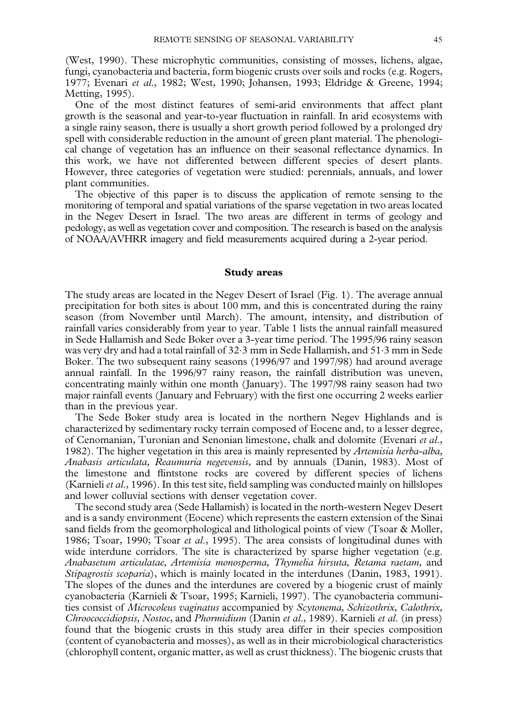(West, 1990). These microphytic communities, consisting of mosses, lichens, algae, fungi, cyanobacteria and bacteria, form biogenic crusts over soils and rocks (e.g. Rogers, 1977; Evenari *et al*., 1982; West, 1990; Johansen, 1993; Eldridge & Greene, 1994; Metting, 1995).

One of the most distinct features of semi-arid environments that affect plant growth is the seasonal and year-to-year fluctuation in rainfall. In arid ecosystems with a single rainy season, there is usually a short growth period followed by a prolonged dry spell with considerable reduction in the amount of green plant material. The phenological change of vegetation has an influence on their seasonal reflectance dynamics. In this work, we have not differented between different species of desert plants. However, three categories of vegetation were studied: perennials, annuals, and lower plant communities.

The objective of this paper is to discuss the application of remote sensing to the monitoring of temporal and spatial variations of the sparse vegetation in two areas located in the Negev Desert in Israel. The two areas are different in terms of geology and pedology, as well as vegetation cover and composition. The research is based on the analysis of NOAA/AVHRR imagery and field measurements acquired during a 2-year period.

## **Study areas**

The study areas are located in the Negev Desert of Israel (Fig. 1). The average annual precipitation for both sites is about 100 mm, and this is concentrated during the rainy season (from November until March). The amount, intensity, and distribution of rainfall varies considerably from year to year. Table 1 lists the annual rainfall measured in Sede Hallamish and Sede Boker over a 3-year time period. The 1995/96 rainy season was very dry and had a total rainfall of 32·3 mm in Sede Hallamish, and 51·3 mm in Sede Boker. The two subsequent rainy seasons (1996/97 and 1997/98) had around average annual rainfall. In the 1996/97 rainy reason, the rainfall distribution was uneven, concentrating mainly within one month (January). The 1997/98 rainy season had two major rainfall events (January and February) with the first one occurring 2 weeks earlier than in the previous year.

The Sede Boker study area is located in the northern Negev Highlands and is characterized by sedimentary rocky terrain composed of Eocene and, to a lesser degree, of Cenomanian, Turonian and Senonian limestone, chalk and dolomite (Evenari *et al*., 1982). The higher vegetation in this area is mainly represented by *Artemisia herba-alba, Anabasis articulata, Reaumuria negevensis*, and by annuals (Danin, 1983). Most of the limestone and flintstone rocks are covered by different species of lichens (Karnieli *et al*., 1996). In this test site, field sampling was conducted mainly on hillslopes and lower colluvial sections with denser vegetation cover.

The second study area (Sede Hallamish) is located in the north-western Negev Desert and is a sandy environment (Eocene) which represents the eastern extension of the Sinai sand fields from the geomorphological and lithological points of view (Tsoar & Moller, 1986; Tsoar, 1990; Tsoar *et al*., 1995). The area consists of longitudinal dunes with wide interdune corridors. The site is characterized by sparse higher vegetation (e.g. *Anabasetum articulatae, Artemisia monosperma, Thymelia hirsuta, Retama raetam,* and *Stipagrostis scoparia*), which is mainly located in the interdunes (Danin, 1983, 1991). The slopes of the dunes and the interdunes are covered by a biogenic crust of mainly cyanobacteria (Karnieli & Tsoar, 1995; Karnieli, 1997). The cyanobacteria communities consist of *Microcoleus vaginatus* accompanied by *Scytonema, Schizothrix, Calothrix, Chroococcidiopsis, Nostoc*, and *Phormidium* (Danin *et al*., 1989). Karnieli *et al*. (in press) found that the biogenic crusts in this study area differ in their species composition (content of cyanobacteria and mosses), as well as in their microbiological characteristics (chlorophyll content, organic matter, as well as crust thickness). The biogenic crusts that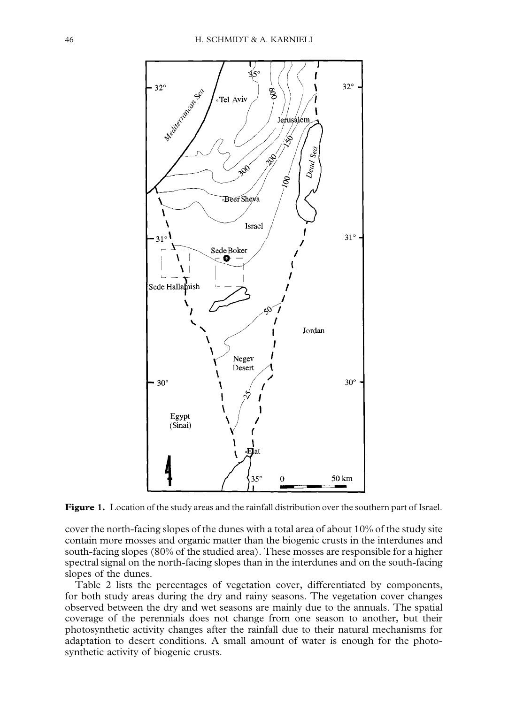

**Figure 1.** Location of the study areas and the rainfall distribution over the southern part of Israel.

cover the north-facing slopes of the dunes with a total area of about 10% of the study site contain more mosses and organic matter than the biogenic crusts in the interdunes and south-facing slopes (80% of the studied area). These mosses are responsible for a higher spectral signal on the north-facing slopes than in the interdunes and on the south-facing slopes of the dunes.

Table 2 lists the percentages of vegetation cover, differentiated by components, for both study areas during the dry and rainy seasons. The vegetation cover changes observed between the dry and wet seasons are mainly due to the annuals. The spatial coverage of the perennials does not change from one season to another, but their photosynthetic activity changes after the rainfall due to their natural mechanisms for adaptation to desert conditions. A small amount of water is enough for the photosynthetic activity of biogenic crusts.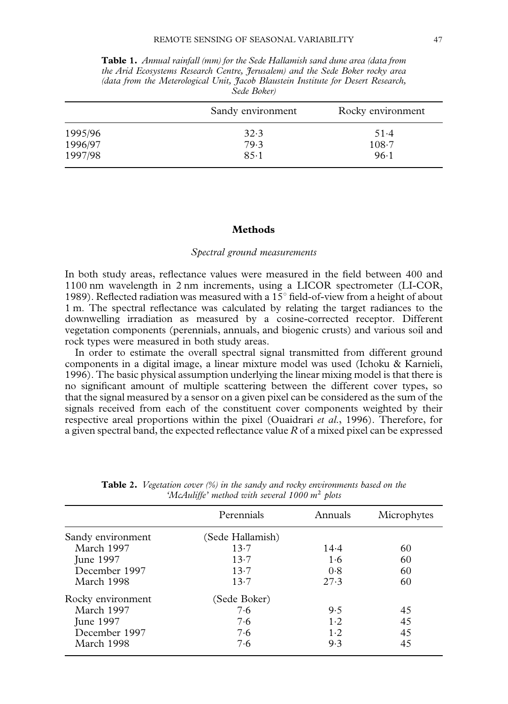|         | Sandy environment | Rocky environment |  |  |  |
|---------|-------------------|-------------------|--|--|--|
| 1995/96 | 32.3              | 51.4              |  |  |  |
| 1996/97 | 79.3              | $108 - 7$         |  |  |  |
| 1997/98 | 85.1              | 96.1              |  |  |  |

**Table 1.** *Annual rainfall (mm) for the Sede Hallamish sand dune area (data from the Arid Ecosystems Research Centre, Jerusalem) and the Sede Boker rocky area (data from the Meterological Unit, Jacob Blaustein Institute for Desert Research, Sede Boker)*

# **Methods**

#### *Spectral ground measurements*

In both study areas, reflectance values were measured in the field between 400 and 1100 nm wavelength in 2 nm increments, using a LICOR spectrometer (LI-COR, 1989). Reflected radiation was measured with a 15 $^{\circ}$  field-of-view from a height of about 1 m. The spectral reflectance was calculated by relating the target radiances to the downwelling irradiation as measured by a cosine-corrected receptor. Different vegetation components (perennials, annuals, and biogenic crusts) and various soil and rock types were measured in both study areas.

In order to estimate the overall spectral signal transmitted from different ground components in a digital image, a linear mixture model was used (Ichoku & Karnieli, 1996). The basic physical assumption underlying the linear mixing model is that there is no significant amount of multiple scattering between the different cover types, so that the signal measured by a sensor on a given pixel can be considered as the sum of the signals received from each of the constituent cover components weighted by their respective areal proportions within the pixel (Ouaidrari *et al*., 1996). Therefore, for a given spectral band, the expected reflectance value *R* of a mixed pixel can be expressed

|                   | Perennials       | Annuals    | Microphytes |  |
|-------------------|------------------|------------|-------------|--|
| Sandy environment | (Sede Hallamish) |            |             |  |
| March 1997        | 13.7             | 14.4       | 60          |  |
| <b>Iune 1997</b>  | 13.7             | 1·6        | 60          |  |
| December 1997     | 13.7             | 0.8        | 60          |  |
| March 1998        | 13.7             | 27.3       | 60          |  |
| Rocky environment | (Sede Boker)     |            |             |  |
| March 1997        | 7.6              | 9.5        | 45          |  |
| <b>Iune 1997</b>  | 7.6              | $1-2$      | 45          |  |
| December 1997     | 7.6              | $1\cdot 2$ | 45          |  |
| March 1998        | 7·6              | 9.3        | 45          |  |
|                   |                  |            |             |  |

**Table 2.** *Vegetation cover (%) in the sandy and rocky environments based on the 'McAuliffe' method with several 1000 m*2 *plots*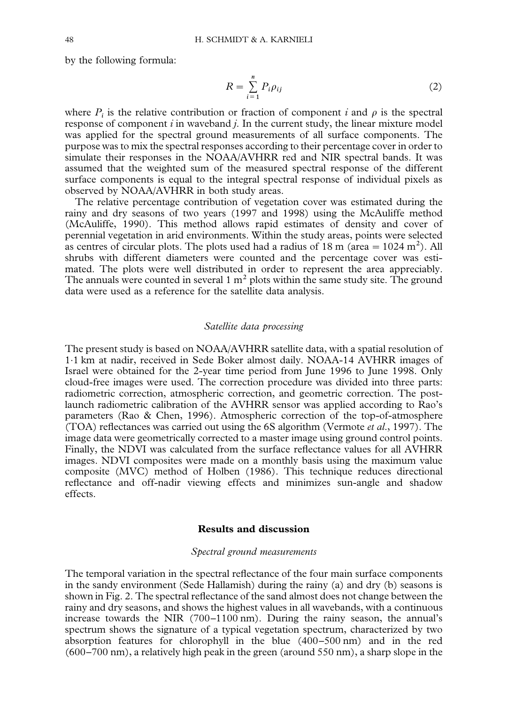by the following formula:

$$
R = \sum_{i=1}^{n} P_i \rho_{ij} \tag{2}
$$

where  $P_i$  is the relative contribution or fraction of component *i* and  $\rho$  is the spectral response of component *i* in waveband *j*. In the current study, the linear mixture model was applied for the spectral ground measurements of all surface components. The purpose was to mix the spectral responses according to their percentage cover in order to simulate their responses in the NOAA/AVHRR red and NIR spectral bands. It was assumed that the weighted sum of the measured spectral response of the different surface components is equal to the integral spectral response of individual pixels as observed by NOAA/AVHRR in both study areas.

The relative percentage contribution of vegetation cover was estimated during the rainy and dry seasons of two years (1997 and 1998) using the McAuliffe method (McAuliffe, 1990). This method allows rapid estimates of density and cover of perennial vegetation in arid environments. Within the study areas, points were selected as centres of circular plots. The plots used had a radius of 18 m (area  $= 1024$  m<sup>2</sup>). All shrubs with different diameters were counted and the percentage cover was estimated. The plots were well distributed in order to represent the area appreciably. The annuals were counted in several  $1 \text{ m}^2$  plots within the same study site. The ground data were used as a reference for the satellite data analysis.

# *Satellite data processing*

The present study is based on NOAA/AVHRR satellite data, with a spatial resolution of 1·1 km at nadir, received in Sede Boker almost daily. NOAA-14 AVHRR images of Israel were obtained for the 2-year time period from June 1996 to June 1998. Only cloud-free images were used. The correction procedure was divided into three parts: radiometric correction, atmospheric correction, and geometric correction. The postlaunch radiometric calibration of the AVHRR sensor was applied according to Rao's parameters (Rao & Chen, 1996). Atmospheric correction of the top-of-atmosphere (TOA) reflectances was carried out using the 6S algorithm (Vermote *et al*., 1997). The image data were geometrically corrected to a master image using ground control points. Finally, the NDVI was calculated from the surface reflectance values for all AVHRR images. NDVI composites were made on a monthly basis using the maximum value composite (MVC) method of Holben (1986). This technique reduces directional reflectance and off-nadir viewing effects and minimizes sun-angle and shadow effects.

#### **Results and discussion**

## *Spectral ground measurements*

The temporal variation in the spectral reflectance of the four main surface components in the sandy environment (Sede Hallamish) during the rainy (a) and dry (b) seasons is shown in Fig. 2. The spectral reflectance of the sand almost does not change between the rainy and dry seasons, and shows the highest values in all wavebands, with a continuous increase towards the NIR (700–1100 nm). During the rainy season, the annual's spectrum shows the signature of a typical vegetation spectrum, characterized by two absorption features for chlorophyll in the blue (400–500 nm) and in the red (600–700 nm), a relatively high peak in the green (around 550 nm), a sharp slope in the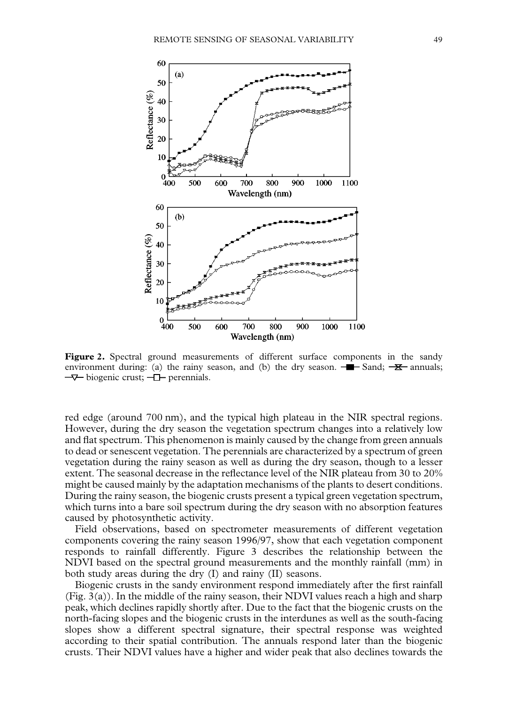

**Figure 2.** Spectral ground measurements of different surface components in the sandy environment during: (a) the rainy season, and (b) the dry season.  $-\blacksquare$  Sand;  $-\mathbf{\geq}$  annuals;  $\neg \nabla$  biogenic crust;  $\neg \Box$  perennials.

red edge (around 700 nm), and the typical high plateau in the NIR spectral regions. However, during the dry season the vegetation spectrum changes into a relatively low and flat spectrum. This phenomenon is mainly caused by the change from green annuals to dead or senescent vegetation. The perennials are characterized by a spectrum of green vegetation during the rainy season as well as during the dry season, though to a lesser extent. The seasonal decrease in the reflectance level of the NIR plateau from 30 to 20% might be caused mainly by the adaptation mechanisms of the plants to desert conditions. During the rainy season, the biogenic crusts present a typical green vegetation spectrum, which turns into a bare soil spectrum during the dry season with no absorption features caused by photosynthetic activity.

Field observations, based on spectrometer measurements of different vegetation components covering the rainy season 1996/97, show that each vegetation component responds to rainfall differently. Figure 3 describes the relationship between the NDVI based on the spectral ground measurements and the monthly rainfall (mm) in both study areas during the dry (I) and rainy (II) seasons.

Biogenic crusts in the sandy environment respond immediately after the first rainfall (Fig. 3(a)). In the middle of the rainy season, their NDVI values reach a high and sharp peak, which declines rapidly shortly after. Due to the fact that the biogenic crusts on the north-facing slopes and the biogenic crusts in the interdunes as well as the south-facing slopes show a different spectral signature, their spectral response was weighted according to their spatial contribution. The annuals respond later than the biogenic crusts. Their NDVI values have a higher and wider peak that also declines towards the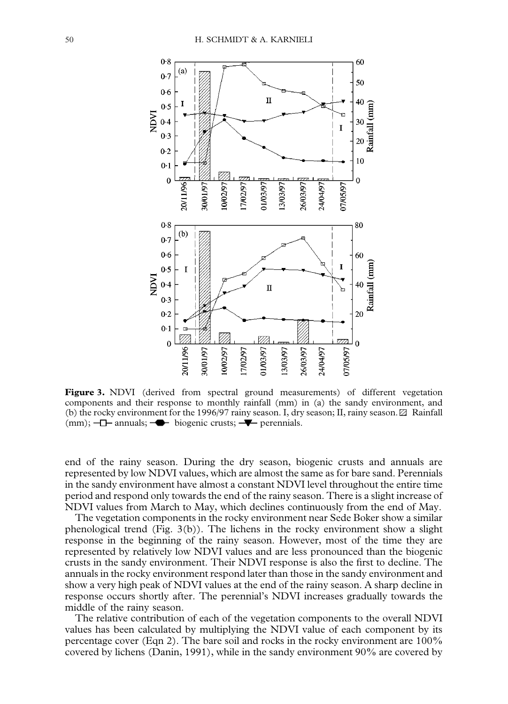

**Figure 3.** NDVI (derived from spectral ground measurements) of different vegetation components and their response to monthly rainfall (mm) in (a) the sandy environment, and (b) the rocky environment for the 1996/97 rainy season. I, dry season; II, rainy season.  $\boxtimes$  Rainfall  $(mm);$   $\neg$  annuals;  $\neg$  biogenic crusts;  $\neg$  perennials.

end of the rainy season. During the dry season, biogenic crusts and annuals are represented by low NDVI values, which are almost the same as for bare sand. Perennials in the sandy environment have almost a constant NDVI level throughout the entire time period and respond only towards the end of the rainy season. There is a slight increase of NDVI values from March to May, which declines continuously from the end of May.

The vegetation components in the rocky environment near Sede Boker show a similar phenological trend (Fig. 3(b)). The lichens in the rocky environment show a slight response in the beginning of the rainy season. However, most of the time they are represented by relatively low NDVI values and are less pronounced than the biogenic crusts in the sandy environment. Their NDVI response is also the first to decline. The annuals in the rocky environment respond later than those in the sandy environment and show a very high peak of NDVI values at the end of the rainy season. A sharp decline in response occurs shortly after. The perennial's NDVI increases gradually towards the middle of the rainy season.

The relative contribution of each of the vegetation components to the overall NDVI values has been calculated by multiplying the NDVI value of each component by its percentage cover (Eqn 2). The bare soil and rocks in the rocky environment are 100% covered by lichens (Danin, 1991), while in the sandy environment 90% are covered by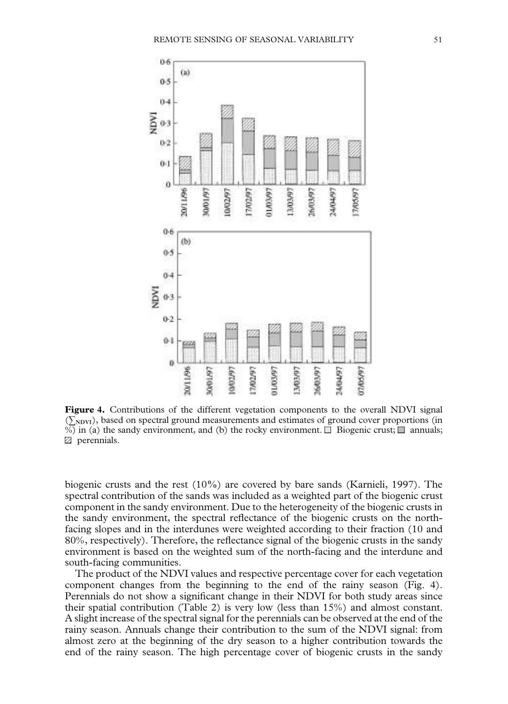

**Figure 4.** Contributions of the different vegetation components to the overall NDVI signal  $(\sum_{NDVI})$ , based on spectral ground measurements and estimates of ground cover proportions (in  $\frac{\sqrt{6}}{2}$  in (a) the sandy environment, and (b) the rocky environment. **B** Biogenic crust;  $\Box$  annuals; 22 perennials.

biogenic crusts and the rest (10%) are covered by bare sands (Karnieli, 1997). The spectral contribution of the sands was included as a weighted part of the biogenic crust component in the sandy environment. Due to the heterogeneity of the biogenic crusts in the sandy environment, the spectral reflectance of the biogenic crusts on the northfacing slopes and in the interdunes were weighted according to their fraction (10 and 80%, respectively). Therefore, the reflectance signal of the biogenic crusts in the sandy environment is based on the weighted sum of the north-facing and the interdune and south-facing communities.

The product of the NDVI values and respective percentage cover for each vegetation component changes from the beginning to the end of the rainy season (Fig. 4). Perennials do not show a significant change in their NDVI for both study areas since their spatial contribution (Table 2) is very low (less than 15%) and almost constant. A slight increase of the spectral signal for the perennials can be observed at the end of the rainy season. Annuals change their contribution to the sum of the NDVI signal: from almost zero at the beginning of the dry season to a higher contribution towards the end of the rainy season. The high percentage cover of biogenic crusts in the sandy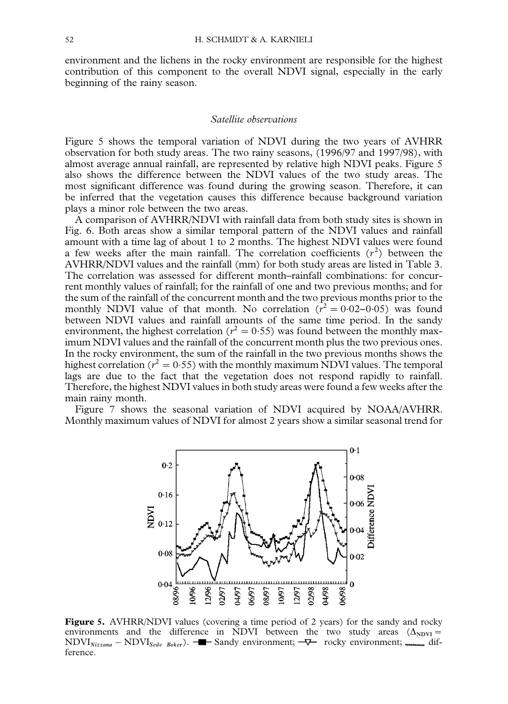environment and the lichens in the rocky environment are responsible for the highest contribution of this component to the overall NDVI signal, especially in the early beginning of the rainy season.

### *Satellite observations*

Figure 5 shows the temporal variation of NDVI during the two years of AVHRR observation for both study areas. The two rainy seasons, (1996/97 and 1997/98), with almost average annual rainfall, are represented by relative high NDVI peaks. Figure 5 also shows the difference between the NDVI values of the two study areas. The most significant difference was found during the growing season. Therefore, it can be inferred that the vegetation causes this difference because background variation plays a minor role between the two areas.

A comparison of AVHRR/NDVI with rainfall data from both study sites is shown in Fig. 6. Both areas show a similar temporal pattern of the NDVI values and rainfall amount with a time lag of about 1 to 2 months. The highest NDVI values were found a few weeks after the main rainfall. The correlation coefficients  $(r^2)$  between the AVHRR/NDVI values and the rainfall (mm) for both study areas are listed in Table 3. The correlation was assessed for different month–rainfall combinations: for concurrent monthly values of rainfall; for the rainfall of one and two previous months; and for the sum of the rainfall of the concurrent month and the two previous months prior to the monthly NDVI value of that month. No correlation  $(r^2 = 0.02-0.05)$  was found between NDVI values and rainfall amounts of the same time period. In the sandy environment, the highest correlation ( $r^2 = 0.55$ ) was found between the monthly maximum NDVI values and the rainfall of the concurrent month plus the two previous ones. In the rocky environment, the sum of the rainfall in the two previous months shows the highest correlation ( $r^2 = 0.55$ ) with the monthly maximum NDVI values. The temporal lags are due to the fact that the vegetation does not respond rapidly to rainfall. Therefore, the highest NDVI values in both study areas were found a few weeks after the main rainy month.

Figure 7 shows the seasonal variation of NDVI acquired by NOAA/AVHRR. Monthly maximum values of NDVI for almost 2 years show a similar seasonal trend for



**Figure 5.** AVHRR/NDVI values (covering a time period of 2 years) for the sandy and rocky environments and the difference in NDVI between the two study areas  $(\Delta_{NDVI} =$  $NDVI<sub>Nizzana</sub> - NDVI<sub>Sede Boker</sub>$ ).  $\blacksquare$  Sandy environment;  $\blacktriangleright$  rocky environment;  $\blacksquare$  difference.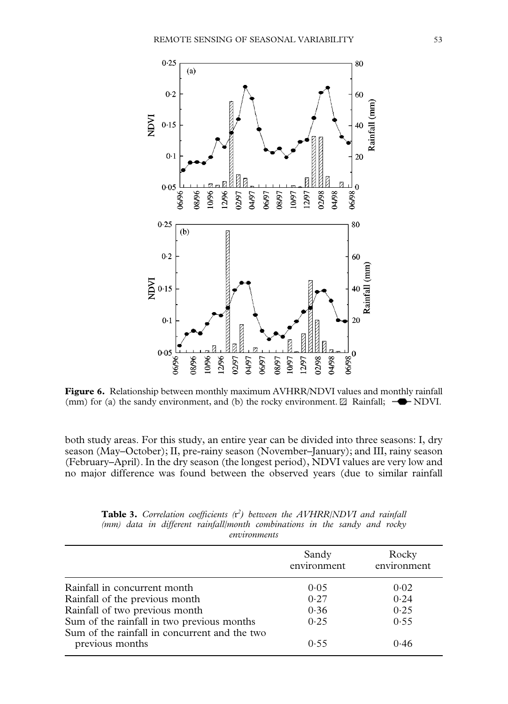

**Figure 6.** Relationship between monthly maximum AVHRR/NDVI values and monthly rainfall (mm) for (a) the sandy environment, and (b) the rocky environment.  $\boxtimes$  Rainfall;  $\blacktriangleleft$  NDVI.

both study areas. For this study, an entire year can be divided into three seasons: I, dry season (May–October); II, pre-rainy season (November–January); and III, rainy season (February–April). In the dry season (the longest period), NDVI values are very low and no major difference was found between the observed years (due to similar rainfall

|              |  |  |  | <b>Table 3.</b> Correlation coefficients $(r^2)$ between the AVHRR/NDVI and rainfall |  |  |  |  |  |  |  |
|--------------|--|--|--|--------------------------------------------------------------------------------------|--|--|--|--|--|--|--|
|              |  |  |  | (mm) data in different rainfall/month combinations in the sandy and rocky            |  |  |  |  |  |  |  |
| environments |  |  |  |                                                                                      |  |  |  |  |  |  |  |

|                                                                                             | Sandy<br>environment | Rocky<br>environment |
|---------------------------------------------------------------------------------------------|----------------------|----------------------|
| Rainfall in concurrent month                                                                | 0.05                 | 0.02                 |
| Rainfall of the previous month                                                              | 0.27                 | 0.24                 |
| Rainfall of two previous month                                                              | 0.36                 | 0.25                 |
| Sum of the rainfall in two previous months<br>Sum of the rainfall in concurrent and the two | 0.25                 | 0.55                 |
| previous months                                                                             | 0.55                 | 0.46                 |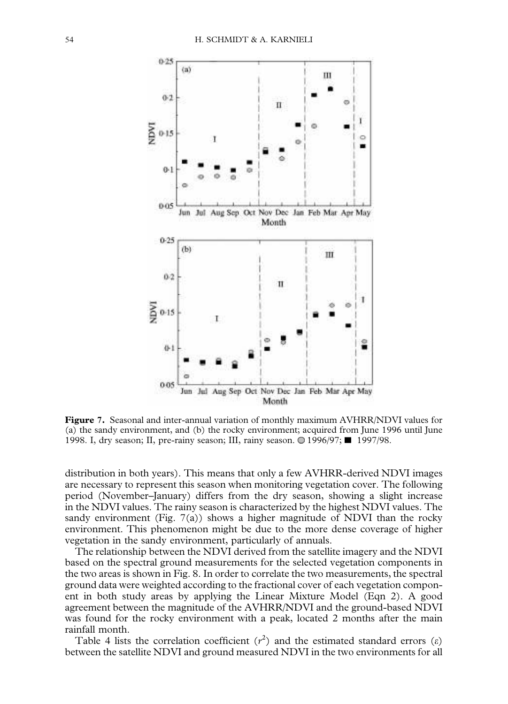

**Figure 7.** Seasonal and inter-annual variation of monthly maximum AVHRR/NDVI values for (a) the sandy environment, and (b) the rocky environment; acquired from June 1996 until June 1998. I, dry season; II, pre-rainy season; III, rainy season. ○ 1996/97; ■ 1997/98.

distribution in both years). This means that only a few AVHRR-derived NDVI images are necessary to represent this season when monitoring vegetation cover. The following period (November–January) differs from the dry season, showing a slight increase in the NDVI values. The rainy season is characterized by the highest NDVI values. The sandy environment (Fig.  $7(a)$ ) shows a higher magnitude of NDVI than the rocky environment. This phenomenon might be due to the more dense coverage of higher vegetation in the sandy environment, particularly of annuals.

The relationship between the NDVI derived from the satellite imagery and the NDVI based on the spectral ground measurements for the selected vegetation components in the two areas is shown in Fig. 8. In order to correlate the two measurements, the spectral ground data were weighted according to the fractional cover of each vegetation component in both study areas by applying the Linear Mixture Model (Eqn 2). A good agreement between the magnitude of the AVHRR/NDVI and the ground-based NDVI was found for the rocky environment with a peak, located 2 months after the main rainfall month.

Table 4 lists the correlation coefficient  $(r^2)$  and the estimated standard errors  $(\varepsilon)$ between the satellite NDVI and ground measured NDVI in the two environments for all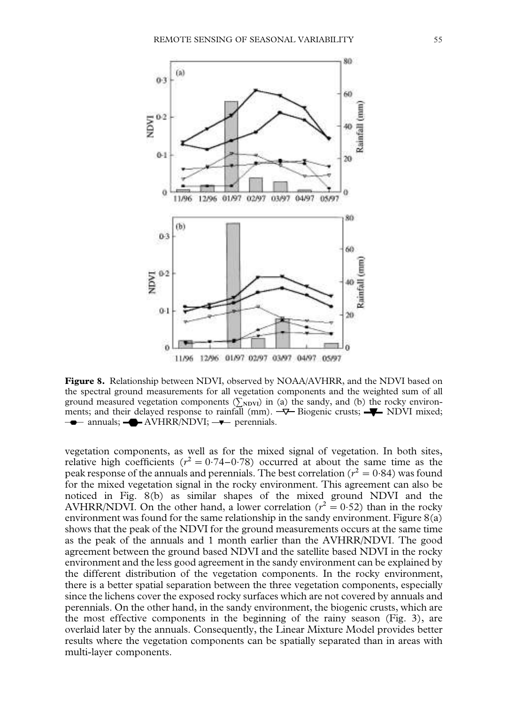

**Figure 8.** Relationship between NDVI, observed by NOAA/AVHRR, and the NDVI based on the spectral ground measurements for all vegetation components and the weighted sum of all ground measured vegetation components  $(\sum_{NDV1})$  in (a) the sandy, and (b) the rocky environments; and their delayed response to rainfall (mm).  $\nabla$  Biogenic crusts;  $\nabla$  NDVI mixed;  $\rightarrow$  annuals;  $\rightarrow$  AVHRR/NDVI;  $\rightarrow$  perennials.

vegetation components, as well as for the mixed signal of vegetation. In both sites, relative high coefficients ( $r^2 = 0.74-0.78$ ) occurred at about the same time as the peak response of the annuals and perennials. The best correlation ( $r^2 = 0.84$ ) was found for the mixed vegetation signal in the rocky environment. This agreement can also be noticed in Fig. 8(b) as similar shapes of the mixed ground NDVI and the AVHRR/NDVI. On the other hand, a lower correlation ( $r^2 = 0.52$ ) than in the rocky environment was found for the same relationship in the sandy environment. Figure 8(a) shows that the peak of the NDVI for the ground measurements occurs at the same time as the peak of the annuals and 1 month earlier than the AVHRR/NDVI. The good agreement between the ground based NDVI and the satellite based NDVI in the rocky environment and the less good agreement in the sandy environment can be explained by the different distribution of the vegetation components. In the rocky environment, there is a better spatial separation between the three vegetation components, especially since the lichens cover the exposed rocky surfaces which are not covered by annuals and perennials. On the other hand, in the sandy environment, the biogenic crusts, which are the most effective components in the beginning of the rainy season (Fig. 3), are overlaid later by the annuals. Consequently, the Linear Mixture Model provides better results where the vegetation components can be spatially separated than in areas with multi-layer components.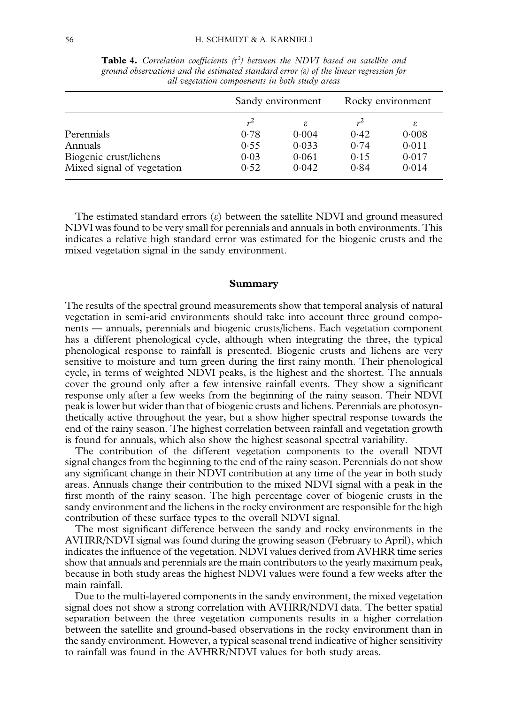|                            |       | Sandy environment | Rocky environment |       |  |
|----------------------------|-------|-------------------|-------------------|-------|--|
|                            | $r^2$ | ε.                | $r^2$             | ε     |  |
| Perennials                 | 0.78  | 0.004             | 0.42              | 0.008 |  |
| Annuals                    | 0.55  | 0.033             | 0.74              | 0.011 |  |
| Biogenic crust/lichens     | 0.03  | 0.061             | 0.15              | 0.017 |  |
| Mixed signal of vegetation | 0.52  | 0.042             | 0.84              | 0.014 |  |

**Table 4.** *Correlation coefficients (*r *2 ) between the NDVI based on satellite and ground observations and the estimated standard error (*e*) of the linear regression for all vegetation compoenents in both study areas*

The estimated standard errors (e) between the satellite NDVI and ground measured NDVI was found to be very small for perennials and annuals in both environments. This indicates a relative high standard error was estimated for the biogenic crusts and the mixed vegetation signal in the sandy environment.

#### **Summary**

The results of the spectral ground measurements show that temporal analysis of natural vegetation in semi-arid environments should take into account three ground components — annuals, perennials and biogenic crusts/lichens. Each vegetation component has a different phenological cycle, although when integrating the three, the typical phenological response to rainfall is presented. Biogenic crusts and lichens are very sensitive to moisture and turn green during the first rainy month. Their phenological cycle, in terms of weighted NDVI peaks, is the highest and the shortest. The annuals cover the ground only after a few intensive rainfall events. They show a significant response only after a few weeks from the beginning of the rainy season. Their NDVI peak is lower but wider than that of biogenic crusts and lichens. Perennials are photosynthetically active throughout the year, but a show higher spectral response towards the end of the rainy season. The highest correlation between rainfall and vegetation growth is found for annuals, which also show the highest seasonal spectral variability.

The contribution of the different vegetation components to the overall NDVI signal changes from the beginning to the end of the rainy season. Perennials do not show any significant change in their NDVI contribution at any time of the year in both study areas. Annuals change their contribution to the mixed NDVI signal with a peak in the first month of the rainy season. The high percentage cover of biogenic crusts in the sandy environment and the lichens in the rocky environment are responsible for the high contribution of these surface types to the overall NDVI signal.

The most significant difference between the sandy and rocky environments in the AVHRR/NDVI signal was found during the growing season (February to April), which indicates the influence of the vegetation. NDVI values derived from AVHRR time series show that annuals and perennials are the main contributors to the yearly maximum peak, because in both study areas the highest NDVI values were found a few weeks after the main rainfall.

Due to the multi-layered components in the sandy environment, the mixed vegetation signal does not show a strong correlation with AVHRR/NDVI data. The better spatial separation between the three vegetation components results in a higher correlation between the satellite and ground-based observations in the rocky environment than in the sandy environment. However, a typical seasonal trend indicative of higher sensitivity to rainfall was found in the AVHRR/NDVI values for both study areas.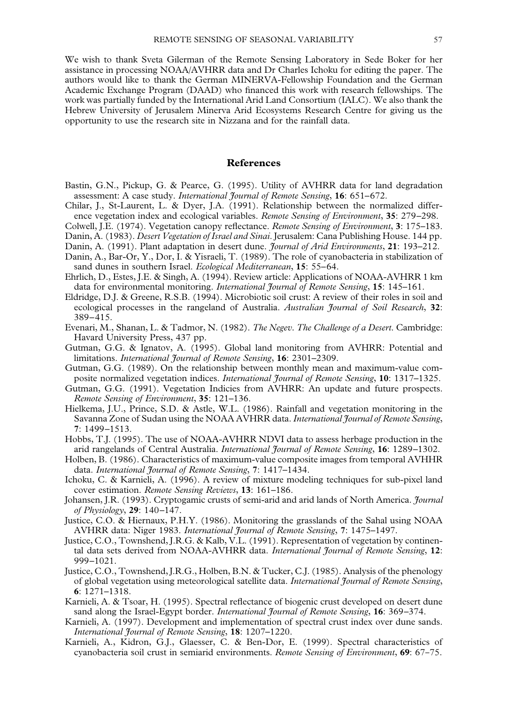We wish to thank Sveta Gilerman of the Remote Sensing Laboratory in Sede Boker for her assistance in processing NOAA/AVHRR data and Dr Charles Ichoku for editing the paper. The authors would like to thank the German MINERVA-Fellowship Foundation and the German Academic Exchange Program (DAAD) who financed this work with research fellowships. The work was partially funded by the International Arid Land Consortium (IALC). We also thank the Hebrew University of Jerusalem Minerva Arid Ecosystems Research Centre for giving us the opportunity to use the research site in Nizzana and for the rainfall data.

#### **References**

- Bastin, G.N., Pickup, G. & Pearce, G. (1995). Utility of AVHRR data for land degradation assessment: A case study. *International Journal of Remote Sensing*, **16**: 651–672.
- Chilar, J., St-Laurent, L. & Dyer, J.A. (1991). Relationship between the normalized difference vegetation index and ecological variables. *Remote Sensing of Environment*, **35**: 279–298.
- Colwell, J.E. (1974). Vegetation canopy reflectance. *Remote Sensing of Environment*, **3**: 175–183.
- Danin, A. (1983). *Desert Vegetation of Israel and Sinai*. Jerusalem: Cana Publishing House. 144 pp.
- Danin, A. (1991). Plant adaptation in desert dune. *Journal of Arid Environments*, **21**: 193–212.
- Danin, A., Bar-Or, Y., Dor, I. & Yisraeli, T. (1989). The role of cyanobacteria in stabilization of sand dunes in southern Israel. *Ecological Mediterranean*, **15**: 55–64.
- Ehrlich, D., Estes, J.E. & Singh, A. (1994). Review article: Applications of NOAA-AVHRR 1 km data for environmental monitoring. *International Journal of Remote Sensing*, **15**: 145–161.
- Eldridge, D.J. & Greene, R.S.B. (1994). Microbiotic soil crust: A review of their roles in soil and ecological processes in the rangeland of Australia. *Australian Journal of Soil Research*, **32**: 389–415.
- Evenari, M., Shanan, L. & Tadmor, N. (1982). *The Negev. The Challenge of a Desert*. Cambridge: Havard University Press, 437 pp.
- Gutman, G.G. & Ignatov, A. (1995). Global land monitoring from AVHRR: Potential and limitations. *International Journal of Remote Sensing*, **16**: 2301–2309.
- Gutman, G.G. (1989). On the relationship between monthly mean and maximum-value composite normalized vegetation indices. *International Journal of Remote Sensing*, **10**: 1317–1325.
- Gutman, G.G. (1991). Vegetation Indicies from AVHRR: An update and future prospects. *Remote Sensing of Environment*, **35**: 121–136.
- Hielkema, J.U., Prince, S.D. & Astle, W.L. (1986). Rainfall and vegetation monitoring in the Savanna Zone of Sudan using the NOAA AVHRR data. *International Journal of Remote Sensing*, **7**: 1499–1513.
- Hobbs, T.J. (1995). The use of NOAA-AVHRR NDVI data to assess herbage production in the arid rangelands of Central Australia. *International Journal of Remote Sensing*, **16**: 1289–1302.
- Holben, B. (1986). Characteristics of maximum-value composite images from temporal AVHHR data. *International Journal of Remote Sensing*, **7**: 1417–1434.
- Ichoku, C. & Karnieli, A. (1996). A review of mixture modeling techniques for sub-pixel land cover estimation. *Remote Sensing Reviews*, **13**: 161–186.
- Johansen, J.R. (1993). Cryptogamic crusts of semi-arid and arid lands of North America. *Journal of Physiology*, **29**: 140–147.
- Justice, C.O. & Hiernaux, P.H.Y. (1986). Monitoring the grasslands of the Sahal using NOAA AVHRR data: Niger 1983. *International Journal of Remote Sensing*, **7**: 1475–1497.
- Justice, C.O., Townshend, J.R.G. & Kalb, V.L. (1991). Representation of vegetation by continental data sets derived from NOAA-AVHRR data. *International Journal of Remote Sensing*, **12**: 999–1021.
- Justice, C.O., Townshend, J.R.G., Holben, B.N. & Tucker, C.J. (1985). Analysis of the phenology of global vegetation using meteorological satellite data. *International Journal of Remote Sensing*, **6**: 1271–1318.
- Karnieli, A. & Tsoar, H. (1995). Spectral reflectance of biogenic crust developed on desert dune sand along the Israel-Egypt border. *International Journal of Remote Sensing*, **16**: 369–374.
- Karnieli, A. (1997). Development and implementation of spectral crust index over dune sands. *International Journal of Remote Sensing*, **18**: 1207–1220.
- Karnieli, A., Kidron, G.J., Glaesser, C. & Ben-Dor, E. (1999). Spectral characteristics of cyanobacteria soil crust in semiarid environments. *Remote Sensing of Environment*, **69**: 67–75.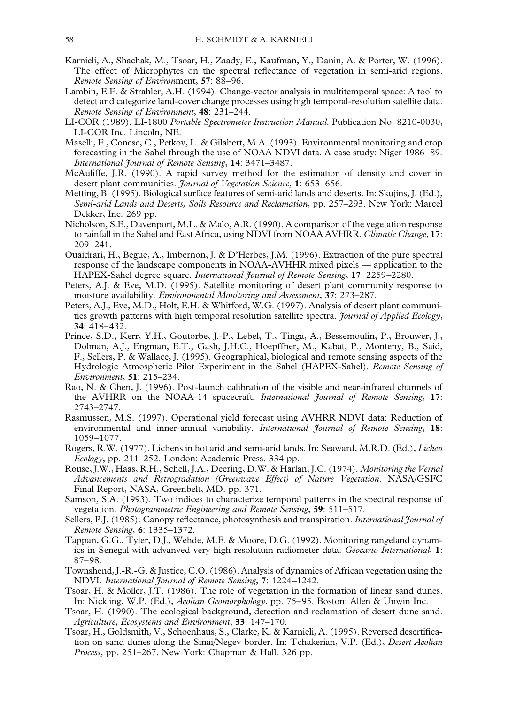- Karnieli, A., Shachak, M., Tsoar, H., Zaady, E., Kaufman, Y., Danin, A. & Porter, W. (1996). The effect of Microphytes on the spectral reflectance of vegetation in semi-arid regions. *Remote Sensing of Environ*ment, **57**: 88–96.
- Lambin, E.F. & Strahler, A.H. (1994). Change-vector analysis in multitemporal space: A tool to detect and categorize land-cover change processes using high temporal-resolution satellite data. *Remote Sensing of Environment*, **48**: 231–244.
- LI-COR (1989). LI-1800 *Portable Spectrometer Instruction Manual*. Publication No. 8210-0030, LI-COR Inc. Lincoln, NE.
- Maselli, F., Conese, C., Petkov, L. & Gilabert, M.A. (1993). Environmental monitoring and crop forecasting in the Sahel through the use of NOAA NDVI data. A case study: Niger 1986–89. *International Journal of Remote Sensing*, **14**: 3471–3487.
- McAuliffe, J.R. (1990). A rapid survey method for the estimation of density and cover in desert plant communities. *Journal of Vegetation Science*, **1**: 653–656.
- Metting, B. (1995). Biological surface features of semi-arid lands and deserts. In: Skujins, J. (Ed.), *Semi-arid Lands and Deserts, Soils Resource and Reclamation*, pp. 257–293. New York: Marcel Dekker, Inc. 269 pp.
- Nicholson, S.E., Davenport, M.L. & Malo, A.R. (1990). A comparison of the vegetation response to rainfall in the Sahel and East Africa, using NDVI from NOAA AVHRR. *Climatic Change*, **17**: 209–241.
- Ouaidrari, H., Begue, A., Imbernon, J. & D'Herbes, J.M. (1996). Extraction of the pure spectral response of the landscape components in NOAA-AVHHR mixed pixels — application to the HAPEX-Sahel degree square. *International Journal of Remote Sensing*, **17**: 2259–2280.
- Peters, A.J. & Eve, M.D. (1995). Satellite monitoring of desert plant community response to moisture availability. *Environmental Monitoring and Assessment*, **37**: 273–287.
- Peters, A.J., Eve, M.D., Holt, E.H. & Whitford, W.G. (1997). Analysis of desert plant communities growth patterns with high temporal resolution satellite spectra. *Journal of Applied Ecology*, **34**: 418–432.
- Prince, S.D., Kerr, Y.H., Goutorbe, J.-P., Lebel, T., Tinga, A., Bessemoulin, P., Brouwer, J., Dolman, A.J., Engman, E.T., Gash, J.H.C., Hoepffner, M., Kabat, P., Monteny, B., Said, F., Sellers, P. & Wallace, J. (1995). Geographical, biological and remote sensing aspects of the Hydrologic Atmospheric Pilot Experiment in the Sahel (HAPEX-Sahel). *Remote Sensing of Environment*, **51**: 215–234.
- Rao, N. & Chen, J. (1996). Post-launch calibration of the visible and near-infrared channels of the AVHRR on the NOAA-14 spacecraft. *International Journal of Remote Sensing*, **17**: 2743–2747.
- Rasmussen, M.S. (1997). Operational yield forecast using AVHRR NDVI data: Reduction of environmental and inner-annual variability. *International Journal of Remote Sensing*, **18**: 1059–1077.
- Rogers, R.W. (1977). Lichens in hot arid and semi-arid lands. In: Seaward, M.R.D. (Ed.), *Lichen Ecology*, pp. 211–252. London: Academic Press. 334 pp.
- Rouse, J.W., Haas, R.H., Schell, J.A., Deering, D.W. & Harlan, J.C. (1974). *Monitoring the Vernal Advancements and Retrogradation (Greenwave Effect) of Nature Vegetation*. NASA/GSFC Final Report, NASA, Greenbelt, MD. pp. 371.
- Samson, S.A. (1993). Two indices to characterize temporal patterns in the spectral response of vegetation. *Photogrammetric Engineering and Remote Sensing*, **59**: 511–517.
- Sellers, P.J. (1985). Canopy reflectance, photosynthesis and transpiration. *International Journal of Remote Sensing*, **6**: 1335–1372.
- Tappan, G.G., Tyler, D.J., Wehde, M.E. & Moore, D.G. (1992). Monitoring rangeland dynamics in Senegal with advanved very high resolutuin radiometer data. *Geocarto International*, **1**: 87–98.
- Townshend, J.-R.-G. & Justice, C.O. (1986). Analysis of dynamics of African vegetation using the NDVI. *International Journal of Remote Sensing*, **7**: 1224–1242.
- Tsoar, H. & Moller, J.T. (1986). The role of vegetation in the formation of linear sand dunes. In: Nickling, W.P. (Ed.), *Aeolian Geomorphology*, pp. 75–95. Boston: Allen & Unwin Inc.
- Tsoar, H. (1990). The ecological background, detection and reclamation of desert dune sand. *Agriculture, Ecosystems and Environment*, **33**: 147–170.
- Tsoar, H., Goldsmith, V., Schoenhaus, S., Clarke, K. & Karnieli, A. (1995). Reversed desertification on sand dunes along the Sinai/Negev border. In: Tchakerian, V.P. (Ed.), *Desert Aeolian Process*, pp. 251–267. New York: Chapman & Hall. 326 pp.